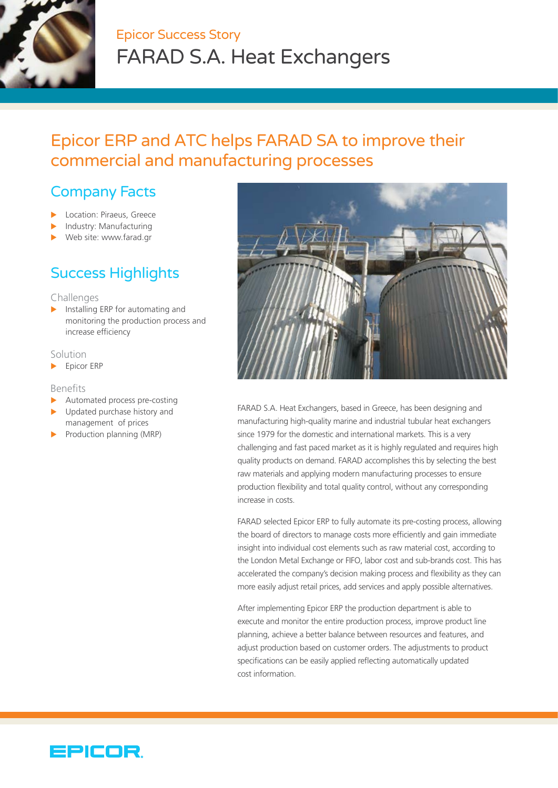

# Epicor Success Story FARAD S.A. Heat Exchangers

# Epicor ERP and ATC helps FARAD SA to improve their commercial and manufacturing processes

## Company Facts

- Location: Piraeus, Greece
- Industry: Manufacturing
- Web site: www.farad.gr

## Success Highlights

#### Challenges

 $\blacktriangleright$  Installing ERP for automating and monitoring the production process and increase efficiency

#### Solution

 $\blacktriangleright$  Epicor ERP

#### Benefits

- $\blacktriangleright$  Automated process pre-costing
- Updated purchase history and management of prices
- Production planning (MRP)



FARAD S.A. Heat Exchangers, based in Greece, has been designing and manufacturing high-quality marine and industrial tubular heat exchangers since 1979 for the domestic and international markets. This is a very challenging and fast paced market as it is highly regulated and requires high quality products on demand. FARAD accomplishes this by selecting the best raw materials and applying modern manufacturing processes to ensure production flexibility and total quality control, without any corresponding increase in costs.

FARAD selected Epicor ERP to fully automate its pre-costing process, allowing the board of directors to manage costs more efficiently and gain immediate insight into individual cost elements such as raw material cost, according to the London Metal Exchange or FIFO, labor cost and sub-brands cost. This has accelerated the company's decision making process and flexibility as they can more easily adjust retail prices, add services and apply possible alternatives.

After implementing Epicor ERP the production department is able to execute and monitor the entire production process, improve product line planning, achieve a better balance between resources and features, and adjust production based on customer orders. The adjustments to product specifications can be easily applied reflecting automatically updated cost information.